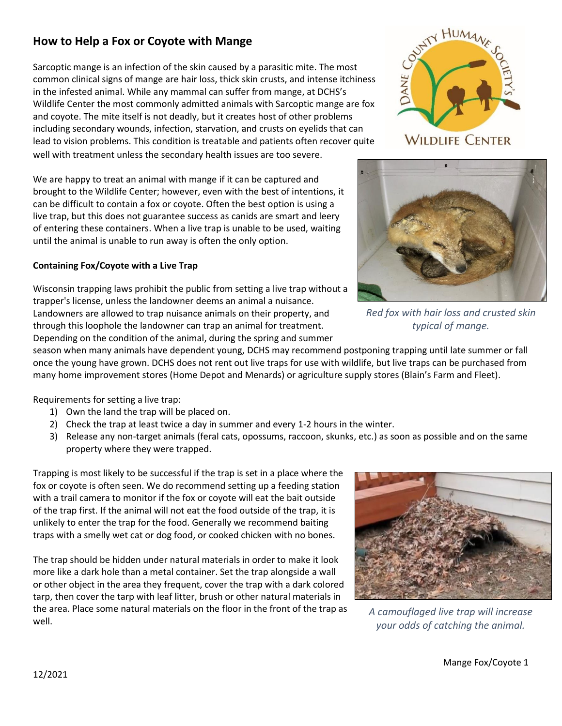## **How to Help a Fox or Coyote with Mange**

Sarcoptic mange is an infection of the skin caused by a parasitic mite. The most common clinical signs of mange are hair loss, thick skin crusts, and intense itchiness in the infested animal. While any mammal can suffer from mange, at DCHS's Wildlife Center the most commonly admitted animals with Sarcoptic mange are fox and coyote. The mite itself is not deadly, but it creates host of other problems including secondary wounds, infection, starvation, and crusts on eyelids that can lead to vision problems. This condition is treatable and patients often recover quite well with treatment unless the secondary health issues are too severe.

We are happy to treat an animal with mange if it can be captured and brought to the Wildlife Center; however, even with the best of intentions, it can be difficult to contain a fox or coyote. Often the best option is using a live trap, but this does not guarantee success as canids are smart and leery of entering these containers. When a live trap is unable to be used, waiting until the animal is unable to run away is often the only option.

## **Containing Fox/Coyote with a Live Trap**

Wisconsin trapping laws prohibit the public from setting a live trap without a trapper's license, unless the landowner deems an animal a nuisance. Landowners are allowed to trap nuisance animals on their property, and through this loophole the landowner can trap an animal for treatment. Depending on the condition of the animal, during the spring and summer

season when many animals have dependent young, DCHS may recommend postponing trapping until late summer or fall once the young have grown. DCHS does not rent out live traps for use with wildlife, but live traps can be purchased from many home improvement stores (Home Depot and Menards) or agriculture supply stores (Blain's Farm and Fleet).

Requirements for setting a live trap:

- 1) Own the land the trap will be placed on.
- 2) Check the trap at least twice a day in summer and every 1-2 hours in the winter.
- 3) Release any non-target animals (feral cats, opossums, raccoon, skunks, etc.) as soon as possible and on the same property where they were trapped.

Trapping is most likely to be successful if the trap is set in a place where the fox or coyote is often seen. We do recommend setting up a feeding station with a trail camera to monitor if the fox or coyote will eat the bait outside of the trap first. If the animal will not eat the food outside of the trap, it is unlikely to enter the trap for the food. Generally we recommend baiting traps with a smelly wet cat or dog food, or cooked chicken with no bones.

The trap should be hidden under natural materials in order to make it look more like a dark hole than a metal container. Set the trap alongside a wall or other object in the area they frequent, cover the trap with a dark colored tarp, then cover the tarp with leaf litter, brush or other natural materials in the area. Place some natural materials on the floor in the front of the trap as well.



*A camouflaged live trap will increase your odds of catching the animal.*